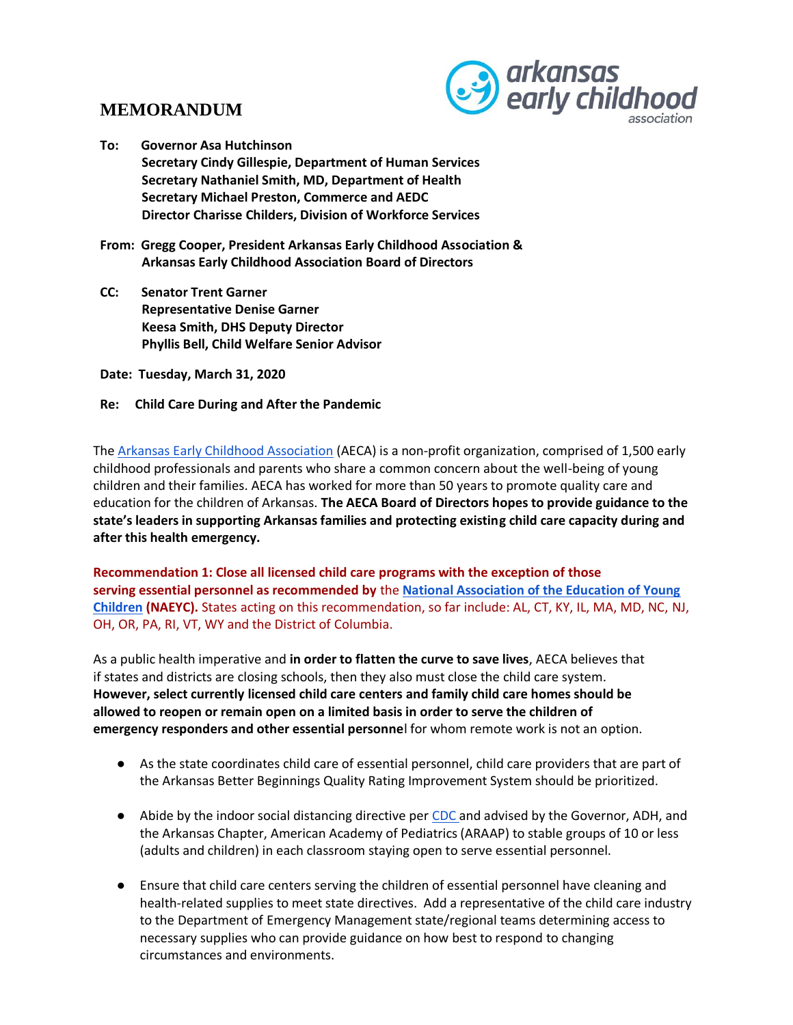## **MEMORANDUM**



**To: Governor Asa Hutchinson Secretary Cindy Gillespie, Department of Human Services Secretary Nathaniel Smith, MD, Department of Health Secretary Michael Preston, Commerce and AEDC Director Charisse Childers, Division of Workforce Services**

**From: Gregg Cooper, President Arkansas Early Childhood Association & Arkansas Early Childhood Association Board of Directors**

**CC: Senator Trent Garner Representative Denise Garner Keesa Smith, DHS Deputy Director Phyllis Bell, Child Welfare Senior Advisor** 

**Date: Tuesday, March 31, 2020**

**Re: Child Care During and After the Pandemic** 

The Arkansas Early Childhood Association (AECA) is a non-profit organization, comprised of 1,500 early childhood professionals and parents who share a common concern about the well-being of young children and their families. AECA has worked for more than 50 years to promote quality care and education for the children of Arkansas. **The AECA Board of Directors hopes to provide guidance to the state's leaders in supporting Arkansas families and protecting existing child care capacity during and after this health emergency.** 

**Recommendation 1: Close all licensed child care programs with the exception of those serving essential personnel as recommended by** the **National Association of the Education of Young Children (NAEYC).** States acting on this recommendation, so far include: AL, CT, KY, IL, MA, MD, NC, NJ, OH, OR, PA, RI, VT, WY and the District of Columbia.

As a public health imperative and **in order to flatten the curve to save lives**, AECA believes that if states and districts are closing schools, then they also must close the child care system. **However, select currently licensed child care centers and family child care homes should be allowed to reopen or remain open on a limited basis in order to serve the children of emergency responders and other essential personne**l for whom remote work is not an option.

- As the state coordinates child care of essential personnel, child care providers that are part of the Arkansas Better Beginnings Quality Rating Improvement System should be prioritized.
- Abide by the indoor social distancing directive per CDC and advised by the Governor, ADH, and the Arkansas Chapter, American Academy of Pediatrics (ARAAP) to stable groups of 10 or less (adults and children) in each classroom staying open to serve essential personnel.
- Ensure that child care centers serving the children of essential personnel have cleaning and health-related supplies to meet state directives. Add a representative of the child care industry to the Department of Emergency Management state/regional teams determining access to necessary supplies who can provide guidance on how best to respond to changing circumstances and environments.